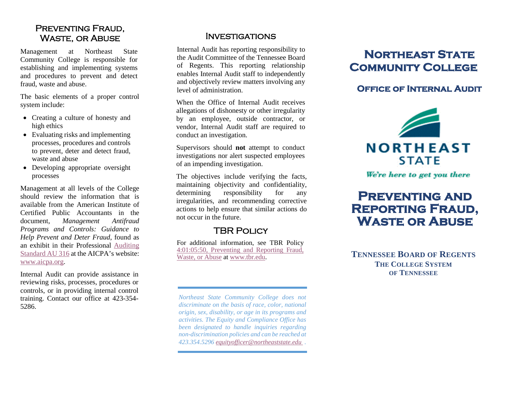### PREVENTING FRAUD. Waste, or Abuse

Management at Northeast State Community College is responsible for establishing and implementing systems and procedures to prevent and detect fraud, waste and abuse.

The basic elements of a proper control system include:

- Creating a culture of honesty and high ethics
- Evaluating risks and implementing processes, procedures and controls to prevent, deter and detect fraud, waste and abuse
- Developing appropriate oversight processes

Management at all levels of the College should review the information that is available from the American Institute of Certified Public Accountants in the document, *Management Antifraud Programs and Controls: Guidance to Help Prevent and Deter Fraud*, found as an exhibit in their Professional [Auditing](http://www.aicpa.org/research/standards/auditattest/downloadabledocuments/au-00316.pdf)  [Standard AU 316](http://www.aicpa.org/research/standards/auditattest/downloadabledocuments/au-00316.pdf) at the AICPA's website: [www.aicpa.org.](http://www.aicpa.org/)

Internal Audit can provide assistance in reviewing risks, processes, procedures or controls, or in providing internal control training. Contact our office at 423-354- 5286.

#### Investigations

Internal Audit has reporting responsibility to the Audit Committee of the Tennessee Board of Regents. This reporting relationship enables Internal Audit staff to independently and objectively review matters involving any level of administration.

When the Office of Internal Audit receives allegations of dishonesty or other irregularity by an employee, outside contractor, or vendor, Internal Audit staff are required to conduct an investigation.

Supervisors should **not** attempt to conduct investigations nor alert suspected employees of an impending investigation.

The objectives include verifying the facts, maintaining objectivity and confidentiality, determining responsibility for any irregularities, and recommending corrective actions to help ensure that similar actions do not occur in the future.

## **TBR POLICY**

For additional information, see TBR Policy [4:01:05:50, Preventing and Reporting Fraud,](https://policies.tbr.edu/policies/preventing-and-reporting-fraud-waste-or-abuse)  [Waste, or Abuse](https://policies.tbr.edu/policies/preventing-and-reporting-fraud-waste-or-abuse) at [www.tbr.edu.](http://www.tbr.edu/)

*Northeast State Community College does not discriminate on the basis of race, color, national origin, sex, disability, or age in its programs and activities. The Equity and Compliance Office has been designated to handle inquiries regarding non-discrimination policies and can be reached at 423.354.5296 [equityofficer@northeaststate.edu](mailto:equityofficer@northeaststate.edu) .*

# **Northeast State Community College**

## **Office of Internal Audit**



We're here to get you there

# **Preventing and Reporting Fraud, Waste or Abuse**

**TENNESSEE BOARD OF REGENTS THE COLLEGE SYSTEM OF TENNESSEE**